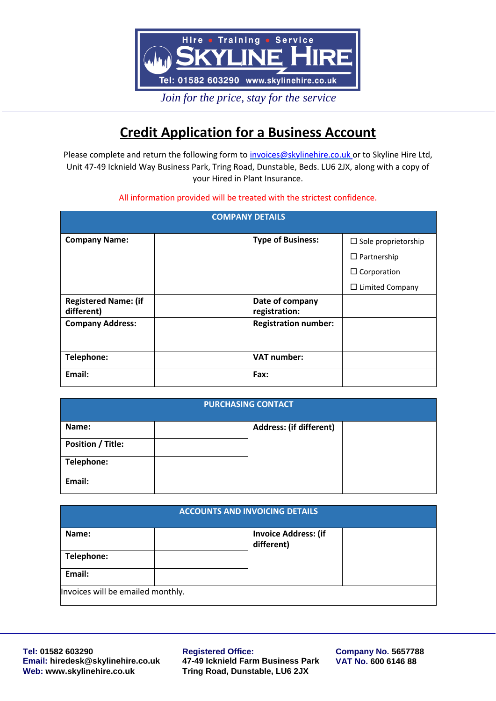

*Join for the price, stay for the service*

# **Credit Application for a Business Account**

Please complete and return the following form to *invoices@skylinehire.co.uk* or to Skyline Hire Ltd, Unit 47-49 Icknield Way Business Park, Tring Road, Dunstable, Beds. LU6 2JX, along with a copy of your Hired in Plant Insurance.

### All information provided will be treated with the strictest confidence.

| <b>COMPANY DETAILS</b>                    |                                  |                            |
|-------------------------------------------|----------------------------------|----------------------------|
| <b>Company Name:</b>                      | <b>Type of Business:</b>         | $\Box$ Sole proprietorship |
|                                           |                                  | $\Box$ Partnership         |
|                                           |                                  | $\Box$ Corporation         |
|                                           |                                  | $\Box$ Limited Company     |
| <b>Registered Name: (if</b><br>different) | Date of company<br>registration: |                            |
| <b>Company Address:</b>                   | <b>Registration number:</b>      |                            |
| Telephone:                                | <b>VAT number:</b>               |                            |
| Email:                                    | Fax:                             |                            |

| <b>PURCHASING CONTACT</b> |  |                                |  |
|---------------------------|--|--------------------------------|--|
| Name:                     |  | <b>Address: (if different)</b> |  |
| <b>Position / Title:</b>  |  |                                |  |
| Telephone:                |  |                                |  |
| Email:                    |  |                                |  |

| <b>ACCOUNTS AND INVOICING DETAILS</b> |                                           |  |
|---------------------------------------|-------------------------------------------|--|
| Name:                                 | <b>Invoice Address: (if</b><br>different) |  |
| Telephone:                            |                                           |  |
| Email:                                |                                           |  |
| Invoices will be emailed monthly.     |                                           |  |

**Tel: 01582 603290 Email: [hiredesk@skylinehire.co.uk](mailto:hiredesk@skylinehire.co.uk) Web: [www.skylinehire.co.uk](http://www.skylinehire.co.uk/)**

#### **Registered Office:**

**47-49 Icknield Farm Business Park Tring Road, Dunstable, LU6 2JX**

**Company No. 5657788 VAT No. 600 6146 88**